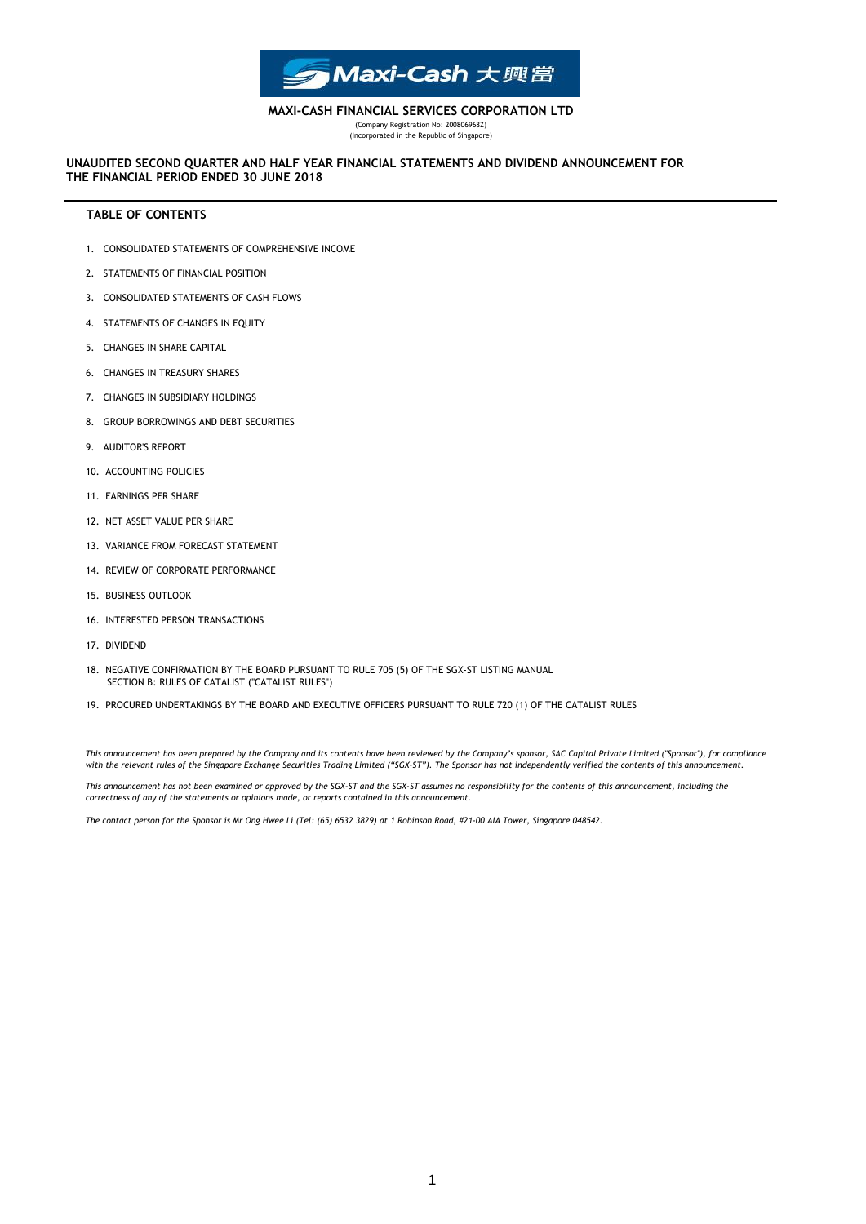

# **MAXI-CASH FINANCIAL SERVICES CORPORATION LTD**

(Company Registration No: 200806968Z) (Incorporated in the Republic of Singapore)

## **THE FINANCIAL PERIOD ENDED 30 JUNE 2018 UNAUDITED SECOND QUARTER AND HALF YEAR FINANCIAL STATEMENTS AND DIVIDEND ANNOUNCEMENT FOR**

# **TABLE OF CONTENTS**

- 1. CONSOLIDATED STATEMENTS OF COMPREHENSIVE INCOME
- 2. STATEMENTS OF FINANCIAL POSITION
- 3. CONSOLIDATED STATEMENTS OF CASH FLOWS
- 4. STATEMENTS OF CHANGES IN EQUITY
- 5. CHANGES IN SHARE CAPITAL
- 6. CHANGES IN TREASURY SHARES
- 7. CHANGES IN SUBSIDIARY HOLDINGS
- 8. GROUP BORROWINGS AND DEBT SECURITIES
- 9. AUDITOR'S REPORT
- 10. ACCOUNTING POLICIES
- 11. EARNINGS PER SHARE
- 12. NET ASSET VALUE PER SHARE
- 13. VARIANCE FROM FORECAST STATEMENT
- 14. REVIEW OF CORPORATE PERFORMANCE
- 15. BUSINESS OUTLOOK
- 16. INTERESTED PERSON TRANSACTIONS
- 17. DIVIDEND
- 18. NEGATIVE CONFIRMATION BY THE BOARD PURSUANT TO RULE 705 (5) OF THE SGX-ST LISTING MANUAL SECTION B: RULES OF CATALIST ("CATALIST RULES")
- 19. PROCURED UNDERTAKINGS BY THE BOARD AND EXECUTIVE OFFICERS PURSUANT TO RULE 720 (1) OF THE CATALIST RULES

*This announcement has been prepared by the Company and its contents have been reviewed by the Company's sponsor, SAC Capital Private Limited ("Sponsor"), for compliance with the relevant rules of the Singapore Exchange Securities Trading Limited ("SGX-ST"). The Sponsor has not independently verified the contents of this announcement.*

*This announcement has not been examined or approved by the SGX-ST and the SGX-ST assumes no responsibility for the contents of this announcement, including the correctness of any of the statements or opinions made, or reports contained in this announcement.*

*The contact person for the Sponsor is Mr Ong Hwee Li (Tel: (65) 6532 3829) at 1 Robinson Road, #21-00 AIA Tower, Singapore 048542.*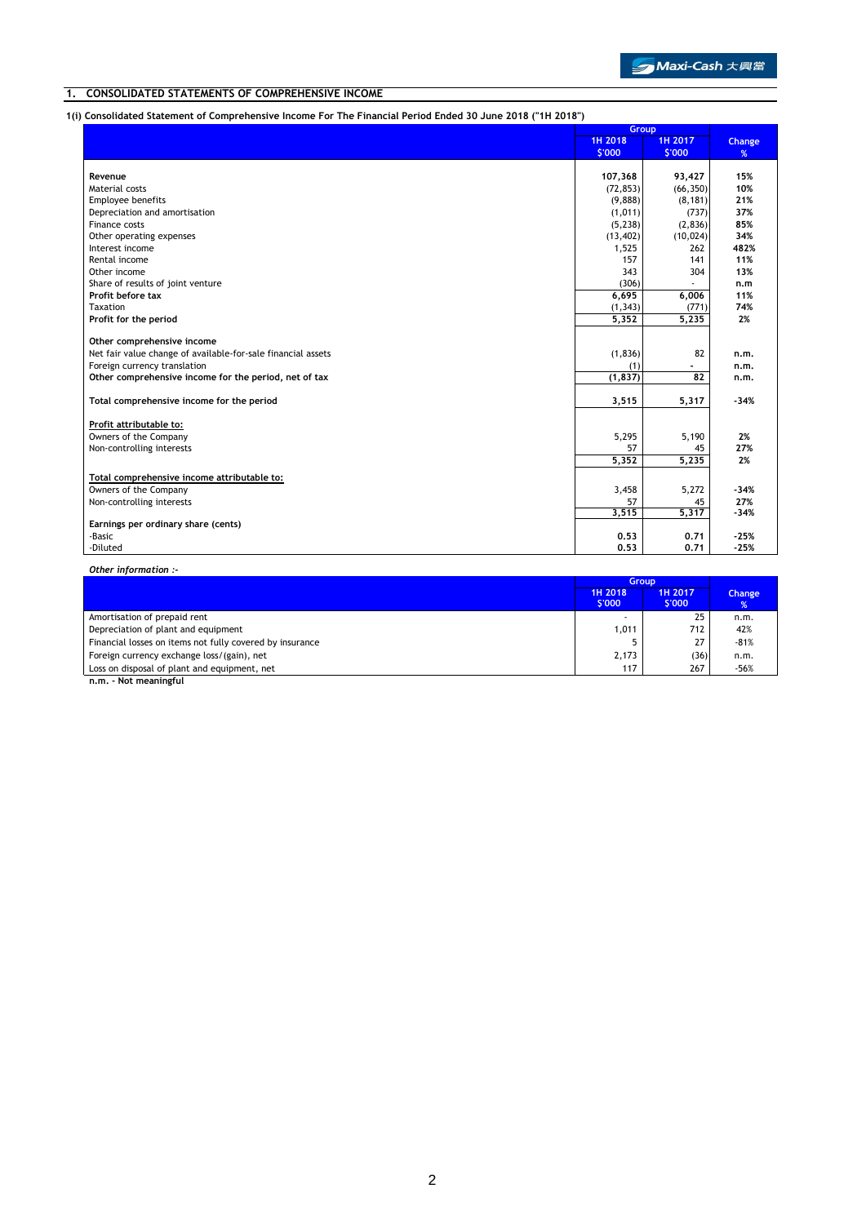# **1. CONSOLIDATED STATEMENTS OF COMPREHENSIVE INCOME**

**1(i) Consolidated Statement of Comprehensive Income For The Financial Period Ended 30 June 2018 ("1H 2018")**

|                                                              | Group     |           |        |
|--------------------------------------------------------------|-----------|-----------|--------|
|                                                              | 1H 2018   | 1H 2017   | Change |
|                                                              | \$'000    | \$'000    | %      |
|                                                              |           |           |        |
| Revenue                                                      | 107,368   | 93,427    | 15%    |
| Material costs                                               | (72, 853) | (66, 350) | 10%    |
| <b>Employee benefits</b>                                     | (9,888)   | (8, 181)  | 21%    |
| Depreciation and amortisation                                | (1,011)   | (737)     | 37%    |
| Finance costs                                                | (5, 238)  | (2,836)   | 85%    |
| Other operating expenses                                     | (13, 402) | (10, 024) | 34%    |
| Interest income                                              | 1,525     | 262       | 482%   |
| Rental income                                                | 157       | 141       | 11%    |
| Other income                                                 | 343       | 304       | 13%    |
| Share of results of joint venture                            | (306)     |           | n.m    |
| Profit before tax                                            | 6,695     | 6,006     | 11%    |
| Taxation                                                     | (1, 343)  | (771)     | 74%    |
| Profit for the period                                        | 5,352     | 5,235     | 2%     |
|                                                              |           |           |        |
| Other comprehensive income                                   |           |           |        |
| Net fair value change of available-for-sale financial assets | (1, 836)  | 82        | n.m.   |
| Foreign currency translation                                 | (1)       |           | n.m.   |
| Other comprehensive income for the period, net of tax        | (1, 837)  | 82        | n.m.   |
|                                                              |           |           |        |
| Total comprehensive income for the period                    | 3,515     | 5,317     | $-34%$ |
|                                                              |           |           |        |
| Profit attributable to:                                      |           |           |        |
| Owners of the Company                                        | 5,295     | 5,190     | 2%     |
| Non-controlling interests                                    | 57        | 45        | 27%    |
|                                                              | 5,352     | 5,235     | 2%     |
| Total comprehensive income attributable to:                  |           |           |        |
| Owners of the Company                                        | 3,458     | 5,272     | $-34%$ |
| Non-controlling interests                                    | 57        | 45        | 27%    |
|                                                              | 3,515     | 5,317     | $-34%$ |
| Earnings per ordinary share (cents)                          |           |           |        |
| -Basic                                                       | 0.53      | 0.71      | $-25%$ |
| -Diluted                                                     | 0.53      | 0.71      | $-25%$ |

*Other information :-*

|                                                          | <b>Group</b>      |                  |                     |
|----------------------------------------------------------|-------------------|------------------|---------------------|
|                                                          | 1H 2018<br>\$'000 | 1H 2017<br>S'000 | <b>Change</b><br>%' |
| Amortisation of prepaid rent                             |                   | 25               | n.m.                |
| Depreciation of plant and equipment                      | 1,011             | 712              | 42%                 |
| Financial losses on items not fully covered by insurance |                   | 27               | $-81%$              |
| Foreign currency exchange loss/(gain), net               | 2,173             | (36)             | n.m.                |
| Loss on disposal of plant and equipment, net             | 117               | 267              | -56%                |

**n.m. - Not meaningful**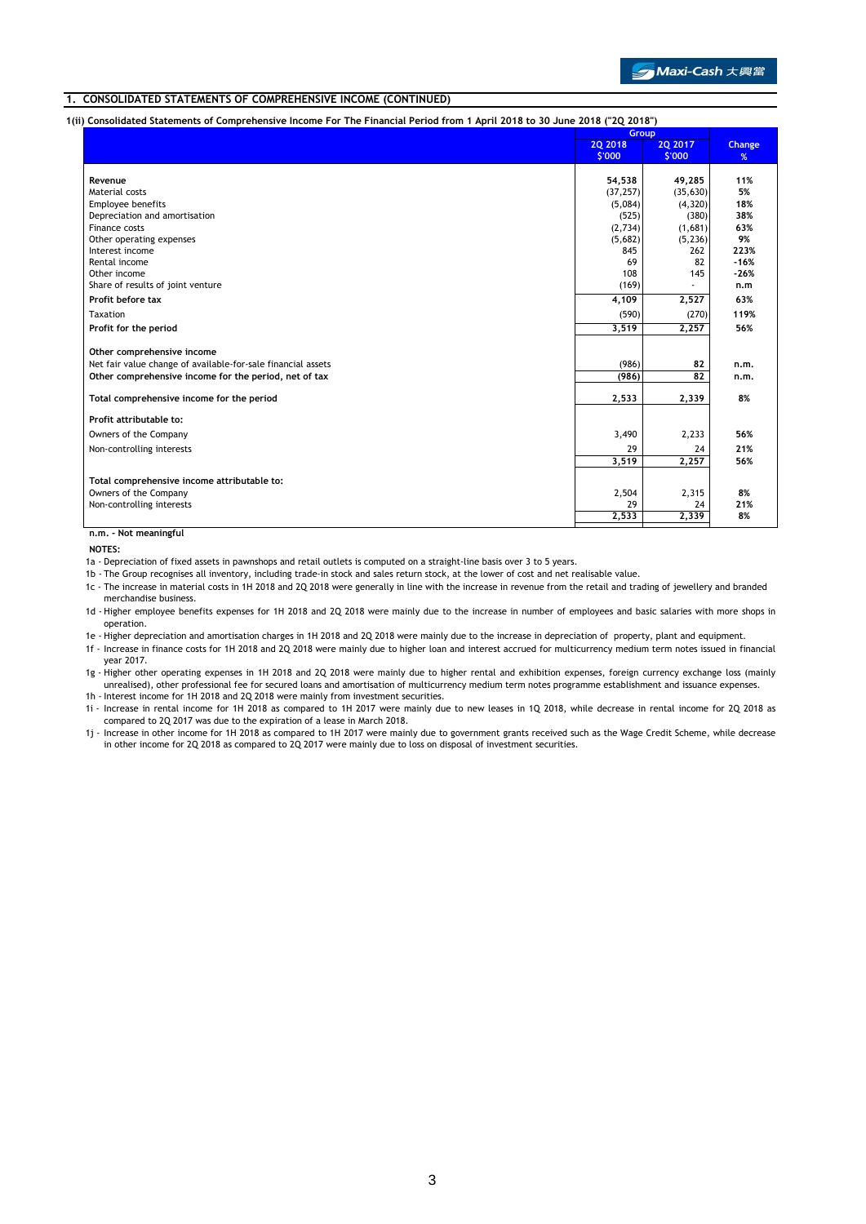## **1. CONSOLIDATED STATEMENTS OF COMPREHENSIVE INCOME (CONTINUED)**

**1(ii) Consolidated Statements of Comprehensive Income For The Financial Period from 1 April 2018 to 30 June 2018 ("2Q 2018")**

|                                                              | .<br>Group         |                     |             |
|--------------------------------------------------------------|--------------------|---------------------|-------------|
|                                                              | 20 2018<br>\$'000  | 20 20 17<br>\$'000  | Change<br>% |
|                                                              |                    |                     |             |
| Revenue                                                      | 54,538             | 49,285              | 11%         |
| Material costs                                               | (37, 257)          | (35, 630)           | 5%          |
| Employee benefits                                            | (5,084)            | (4, 320)            | 18%         |
| Depreciation and amortisation                                | (525)              | (380)               | 38%         |
| Finance costs<br>Other operating expenses                    | (2,734)<br>(5,682) | (1,681)<br>(5, 236) | 63%<br>9%   |
| Interest income                                              | 845                | 262                 | 223%        |
| Rental income                                                | 69                 | 82                  | $-16%$      |
| Other income                                                 | 108                | 145                 | $-26%$      |
| Share of results of joint venture                            | (169)              |                     | n.m         |
| Profit before tax                                            | 4,109              | 2,527               | 63%         |
| Taxation                                                     | (590)              | (270)               | 119%        |
| Profit for the period                                        | 3,519              | 2,257               | 56%         |
| Other comprehensive income                                   |                    |                     |             |
| Net fair value change of available-for-sale financial assets | (986)              | 82                  | n.m.        |
| Other comprehensive income for the period, net of tax        | (986)              | 82                  | n.m.        |
| Total comprehensive income for the period                    | 2,533              | 2,339               | 8%          |
| Profit attributable to:                                      |                    |                     |             |
| Owners of the Company                                        | 3,490              | 2,233               | 56%         |
| Non-controlling interests                                    | 29                 | 24                  | 21%         |
|                                                              | 3,519              | 2,257               | 56%         |
| Total comprehensive income attributable to:                  |                    |                     |             |
| Owners of the Company                                        | 2,504              | 2,315               | 8%          |
| Non-controlling interests                                    | 29                 | 24                  | 21%         |
|                                                              | 2,533              | 2,339               | 8%          |
| n.m. - Not meaningful                                        |                    |                     |             |

**NOTES:**

- 1a Depreciation of fixed assets in pawnshops and retail outlets is computed on a straight-line basis over 3 to 5 years.
	- 1b The Group recognises all inventory, including trade-in stock and sales return stock, at the lower of cost and net realisable value.
	- 1c The increase in material costs in 1H 2018 and 2Q 2018 were generally in line with the increase in revenue from the retail and trading of jewellery and branded merchandise business.
	- 1d Higher employee benefits expenses for 1H 2018 and 2Q 2018 were mainly due to the increase in number of employees and basic salaries with more shops in operation.
	- 1e Higher depreciation and amortisation charges in 1H 2018 and 2Q 2018 were mainly due to the increase in depreciation of property, plant and equipment. 1f - Increase in finance costs for 1H 2018 and 2Q 2018 were mainly due to higher loan and interest accrued for multicurrency medium term notes issued in financial
	- 1g Higher other operating expenses in 1H 2018 and 2Q 2018 were mainly due to higher rental and exhibition expenses, foreign currency exchange loss (mainly year 2017.
	- 1h Interest income for 1H 2018 and 2Q 2018 were mainly from investment securities. unrealised), other professional fee for secured loans and amortisation of multicurrency medium term notes programme establishment and issuance expenses.
	- 1i Increase in rental income for 1H 2018 as compared to 1H 2017 were mainly due to new leases in 1Q 2018, while decrease in rental income for 2Q 2018 as compared to 2Q 2017 was due to the expiration of a lease in March 2018.
	- 1j Increase in other income for 1H 2018 as compared to 1H 2017 were mainly due to government grants received such as the Wage Credit Scheme, while decrease in other income for 2Q 2018 as compared to 2Q 2017 were mainly due to loss on disposal of investment securities.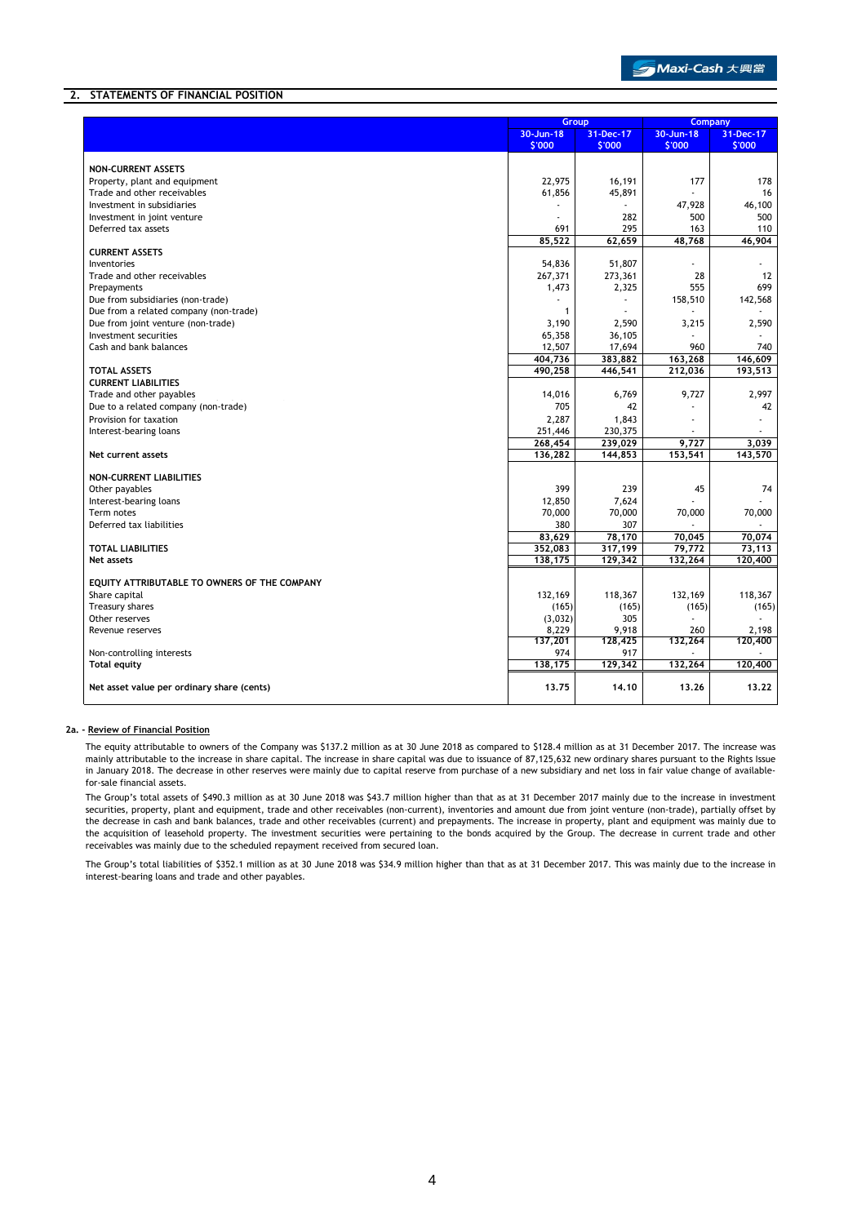# **2. STATEMENTS OF FINANCIAL POSITION**

|                                              | Group            |              |           | <b>Company</b> |
|----------------------------------------------|------------------|--------------|-----------|----------------|
|                                              | $30 - Jun - 18$  | 31-Dec-17    | 30-Jun-18 | 31-Dec-17      |
|                                              | \$'000           | \$'000       | \$'000    | \$'000         |
|                                              |                  |              |           |                |
| <b>NON-CURRENT ASSETS</b>                    |                  |              |           |                |
| Property, plant and equipment                | 22,975           | 16,191       | 177       | 178            |
| Trade and other receivables                  | 61,856           | 45,891       |           | 16             |
| Investment in subsidiaries                   |                  |              | 47,928    | 46,100         |
| Investment in joint venture                  | ÷.               | 282          | 500       | 500            |
| Deferred tax assets                          | 691              | 295          | 163       | 110            |
|                                              | 85,522           | 62,659       | 48,768    | 46,904         |
| <b>CURRENT ASSETS</b>                        |                  |              |           |                |
| Inventories                                  | 54,836           | 51,807       |           |                |
| Trade and other receivables                  | 267,371          | 273,361      | 28        | 12             |
| Prepayments                                  | 1,473            | 2,325        | 555       | 699            |
| Due from subsidiaries (non-trade)            |                  |              | 158,510   | 142,568        |
| Due from a related company (non-trade)       | $\mathbf{1}$     |              |           |                |
| Due from joint venture (non-trade)           | 3,190            | 2,590        | 3,215     | 2,590          |
| Investment securities                        | 65,358           | 36,105       |           |                |
| Cash and bank balances                       | 12,507           | 17,694       | 960       | 740            |
|                                              | 404,736          | 383,882      | 163,268   | 146,609        |
| <b>TOTAL ASSETS</b>                          | 490,258          | 446,541      | 212,036   | 193,513        |
| <b>CURRENT LIABILITIES</b>                   |                  |              |           |                |
| Trade and other payables                     | 14,016           | 6,769        | 9,727     | 2,997          |
| Due to a related company (non-trade)         | 705              | 42           |           | 42             |
| Provision for taxation                       | 2,287            | 1,843        | ٠         |                |
| Interest-bearing loans                       | 251,446          | 230,375      |           |                |
|                                              | 268,454          | 239,029      | 9,727     | 3,039          |
| Net current assets                           | 136,282          | 144,853      | 153,541   | 143,570        |
|                                              |                  |              |           |                |
| NON-CURRENT LIABILITIES                      |                  |              |           |                |
| Other payables                               | 399              | 239          | 45        | 74             |
| Interest-bearing loans                       | 12,850           | 7,624        |           |                |
| Term notes                                   | 70,000           | 70,000       | 70,000    | 70,000         |
| Deferred tax liabilities                     | 380              | 307          | $\sim$    |                |
|                                              | 83,629           | 78,170       | 70,045    | 70,074         |
| <b>TOTAL LIABILITIES</b>                     | 352,083          | 317,199      | 79,772    | 73,113         |
| <b>Net assets</b>                            | 138,175          | 129,342      | 132,264   | 120,400        |
| EQUITY ATTRIBUTABLE TO OWNERS OF THE COMPANY |                  |              |           |                |
|                                              | 132,169          |              |           |                |
| Share capital                                |                  | 118,367      | 132,169   | 118,367        |
| Treasury shares<br>Other reserves            | (165)<br>(3,032) | (165)<br>305 | (165)     | (165)          |
| Revenue reserves                             | 8,229            | 9,918        | 260       | 2,198          |
|                                              | 137,201          | 128,425      | 132,264   | 120,400        |
| Non-controlling interests                    | 974              | 917          |           |                |
| <b>Total equity</b>                          | 138,175          | 129,342      | 132,264   | 120,400        |
|                                              |                  |              |           |                |
| Net asset value per ordinary share (cents)   | 13.75            | 14.10        | 13.26     | 13.22          |
|                                              |                  |              |           |                |

### **2a. - Review of Financial Position**

The equity attributable to owners of the Company was \$137.2 million as at 30 June 2018 as compared to \$128.4 million as at 31 December 2017. The increase was mainly attributable to the increase in share capital. The increase in share capital was due to issuance of 87,125,632 new ordinary shares pursuant to the Rights Issue in January 2018. The decrease in other reserves were mainly due to capital reserve from purchase of a new subsidiary and net loss in fair value change of availablefor-sale financial assets.

The Group's total assets of \$490.3 million as at 30 June 2018 was \$43.7 million higher than that as at 31 December 2017 mainly due to the increase in investment securities, property, plant and equipment, trade and other receivables (non-current), inventories and amount due from joint venture (non-trade), partially offset by the decrease in cash and bank balances, trade and other receivables (current) and prepayments. The increase in property, plant and equipment was mainly due to the acquisition of leasehold property. The investment securities were pertaining to the bonds acquired by the Group. The decrease in current trade and other receivables was mainly due to the scheduled repayment received from secured loan.

The Group's total liabilities of \$352.1 million as at 30 June 2018 was \$34.9 million higher than that as at 31 December 2017. This was mainly due to the increase in interest-bearing loans and trade and other payables.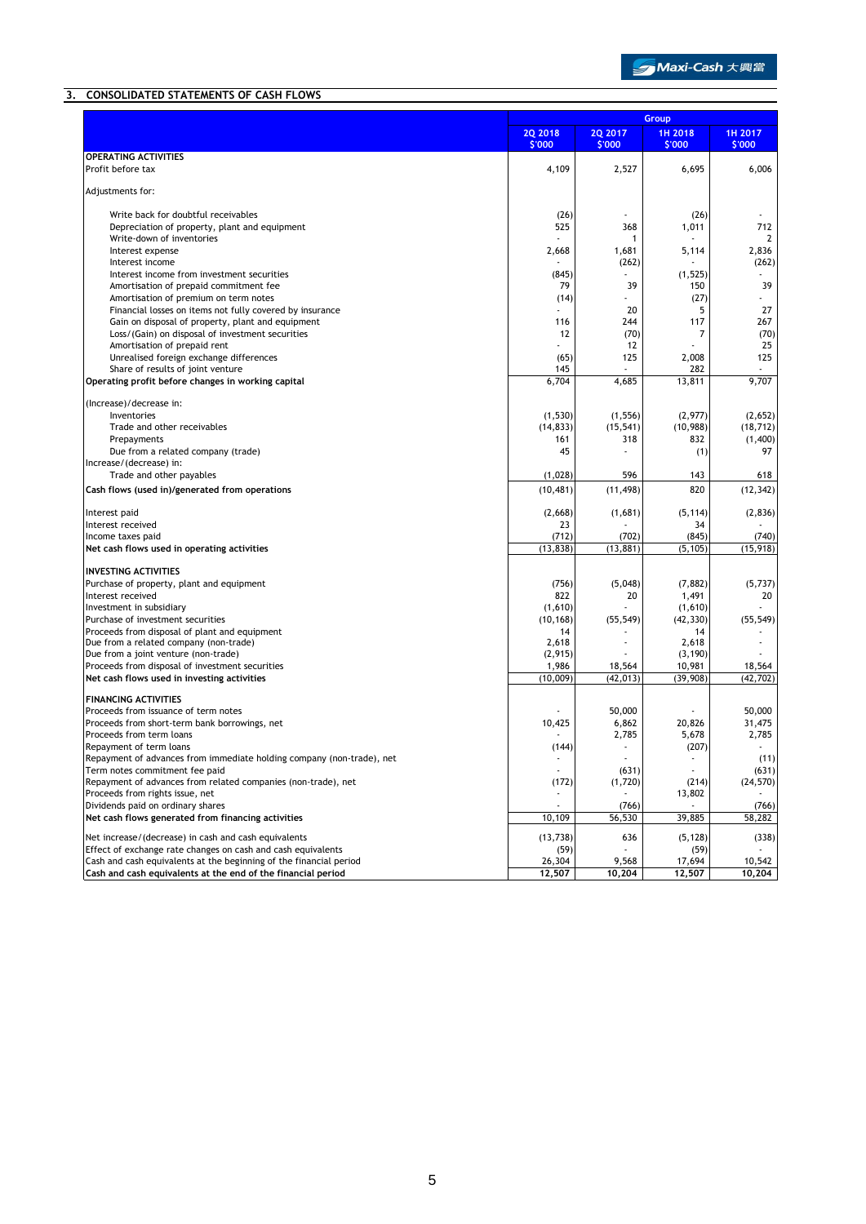# **3. CONSOLIDATED STATEMENTS OF CASH FLOWS**

|                                                                                                                                    |                          | Group                    |                          |                   |  |
|------------------------------------------------------------------------------------------------------------------------------------|--------------------------|--------------------------|--------------------------|-------------------|--|
|                                                                                                                                    | <b>2Q 2018</b><br>\$'000 | <b>2Q 2017</b><br>\$'000 | 1H 2018<br>\$'000        | 1H 2017<br>\$'000 |  |
| <b>OPERATING ACTIVITIES</b>                                                                                                        |                          |                          |                          |                   |  |
| Profit before tax                                                                                                                  | 4,109                    | 2,527                    | 6,695                    | 6,006             |  |
| Adjustments for:                                                                                                                   |                          |                          |                          |                   |  |
| Write back for doubtful receivables                                                                                                | (26)                     |                          | (26)                     |                   |  |
| Depreciation of property, plant and equipment                                                                                      | 525                      | 368                      | 1,011                    | 712               |  |
| Write-down of inventories                                                                                                          |                          | 1                        |                          | 2                 |  |
| Interest expense                                                                                                                   | 2,668                    | 1,681                    | 5,114                    | 2,836             |  |
| Interest income                                                                                                                    |                          | (262)                    |                          | (262)             |  |
| Interest income from investment securities<br>Amortisation of prepaid commitment fee                                               | (845)<br>79              | 39                       | (1, 525)<br>150          | 39                |  |
| Amortisation of premium on term notes                                                                                              | (14)                     |                          | (27)                     |                   |  |
| Financial losses on items not fully covered by insurance                                                                           |                          | 20                       | 5                        | 27                |  |
| Gain on disposal of property, plant and equipment                                                                                  | 116                      | 244                      | 117                      | 267               |  |
| Loss/(Gain) on disposal of investment securities                                                                                   | 12                       | (70)                     | 7                        | (70)              |  |
| Amortisation of prepaid rent                                                                                                       |                          | 12                       |                          | 25                |  |
| Unrealised foreign exchange differences                                                                                            | (65)<br>145              | 125                      | 2,008<br>282             | 125               |  |
| Share of results of joint venture<br>Operating profit before changes in working capital                                            | 6,704                    | 4,685                    | 13,811                   | 9,707             |  |
|                                                                                                                                    |                          |                          |                          |                   |  |
| (Increase)/decrease in:                                                                                                            |                          |                          |                          |                   |  |
| Inventories                                                                                                                        | (1, 530)                 | (1, 556)                 | (2,977)                  | (2,652)           |  |
| Trade and other receivables                                                                                                        | (14, 833)                | (15, 541)                | (10, 988)                | (18, 712)         |  |
| Prepayments<br>Due from a related company (trade)                                                                                  | 161<br>45                | 318                      | 832                      | (1,400)<br>97     |  |
| Increase/(decrease) in:                                                                                                            |                          |                          | (1)                      |                   |  |
| Trade and other payables                                                                                                           | (1,028)                  | 596                      | 143                      | 618               |  |
| Cash flows (used in)/generated from operations                                                                                     | (10, 481)                | (11, 498)                | 820                      | (12, 342)         |  |
|                                                                                                                                    |                          |                          |                          |                   |  |
| Interest paid<br>Interest received                                                                                                 | (2,668)<br>23            | (1,681)                  | (5, 114)<br>34           | (2,836)           |  |
| Income taxes paid                                                                                                                  | (712)                    | (702)                    | (845)                    | (740)             |  |
| Net cash flows used in operating activities                                                                                        | (13, 838)                | (13, 881)                | (5, 105)                 | (15, 918)         |  |
|                                                                                                                                    |                          |                          |                          |                   |  |
| <b>INVESTING ACTIVITIES</b><br>Purchase of property, plant and equipment                                                           | (756)                    | (5,048)                  | (7, 882)                 | (5,737)           |  |
| Interest received                                                                                                                  | 822                      | 20                       | 1,491                    | 20                |  |
| Investment in subsidiary                                                                                                           | (1,610)                  |                          | (1,610)                  |                   |  |
| Purchase of investment securities                                                                                                  | (10, 168)                | (55, 549)                | (42, 330)                | (55, 549)         |  |
| Proceeds from disposal of plant and equipment                                                                                      | 14                       |                          | 14                       |                   |  |
| Due from a related company (non-trade)                                                                                             | 2,618                    |                          | 2,618                    |                   |  |
| Due from a joint venture (non-trade)<br>Proceeds from disposal of investment securities                                            | (2, 915)<br>1,986        | 18,564                   | (3, 190)<br>10,981       | 18,564            |  |
| Net cash flows used in investing activities                                                                                        | (10,009)                 | (42, 013)                | (39, 908)                | (42, 702)         |  |
|                                                                                                                                    |                          |                          |                          |                   |  |
| <b>FINANCING ACTIVITIES</b>                                                                                                        |                          |                          |                          |                   |  |
| Proceeds from issuance of term notes<br>Proceeds from short-term bank borrowings, net                                              | 10,425                   | 50,000<br>6,862          | 20,826                   | 50,000<br>31,475  |  |
| Proceeds from term loans                                                                                                           |                          | 2,785                    | 5,678                    | 2,785             |  |
| Repayment of term loans                                                                                                            | (144)                    |                          | (207)                    |                   |  |
| Repayment of advances from immediate holding company (non-trade), net                                                              |                          |                          |                          | (11)              |  |
| Term notes commitment fee paid                                                                                                     | $\overline{\phantom{a}}$ | (631)                    | $\overline{\phantom{a}}$ | (631)             |  |
| Repayment of advances from related companies (non-trade), net                                                                      | (172)                    | (1,720)                  | (214)                    | (24, 570)         |  |
| Proceeds from rights issue, net                                                                                                    |                          |                          | 13,802                   |                   |  |
| Dividends paid on ordinary shares<br>Net cash flows generated from financing activities                                            | 10,109                   | (766)<br>56,530          | 39,885                   | (766)<br>58,282   |  |
|                                                                                                                                    |                          |                          |                          |                   |  |
| Net increase/(decrease) in cash and cash equivalents                                                                               | (13, 738)                | 636                      | (5, 128)                 | (338)             |  |
| Effect of exchange rate changes on cash and cash equivalents                                                                       | (59)                     |                          | (59)                     |                   |  |
| Cash and cash equivalents at the beginning of the financial period<br>Cash and cash equivalents at the end of the financial period | 26,304<br>12,507         | 9,568<br>10,204          | 17,694                   | 10,542<br>10,204  |  |
|                                                                                                                                    |                          |                          | 12,507                   |                   |  |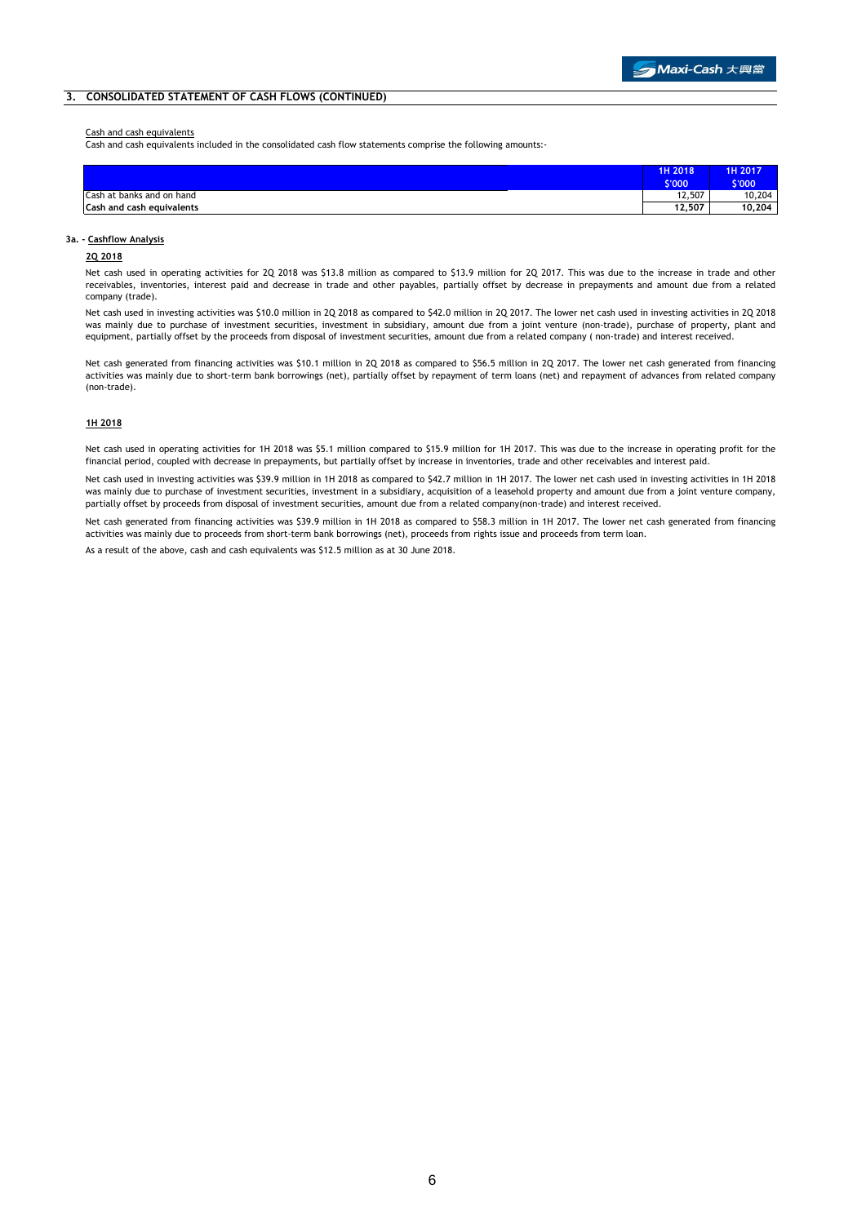### **3. CONSOLIDATED STATEMENT OF CASH FLOWS (CONTINUED)**

### Cash and cash equivalents

Cash and cash equivalents included in the consolidated cash flow statements comprise the following amounts:-

|                           | 1H 2018                  | <b>1H 2017</b> |
|---------------------------|--------------------------|----------------|
|                           | \$'000                   | 6'000          |
| Cash at banks and on hand | 12,507                   | 10,204         |
| Cash and cash equivalents | $\overline{1}$<br>12.507 | 10,204         |

#### **3a. - Cashflow Analysis**

#### **2Q 2018**

Net cash used in operating activities for 2Q 2018 was \$13.8 million as compared to \$13.9 million for 2Q 2017. This was due to the increase in trade and other receivables, inventories, interest paid and decrease in trade and other payables, partially offset by decrease in prepayments and amount due from a related company (trade).

Net cash used in investing activities was \$10.0 million in 2Q 2018 as compared to \$42.0 million in 2Q 2017. The lower net cash used in investing activities in 2Q 2018 was mainly due to purchase of investment securities, investment in subsidiary, amount due from a joint venture (non-trade), purchase of property, plant and equipment, partially offset by the proceeds from disposal of investment securities, amount due from a related company ( non-trade) and interest received.

Net cash generated from financing activities was \$10.1 million in 2Q 2018 as compared to \$56.5 million in 2Q 2017. The lower net cash generated from financing activities was mainly due to short-term bank borrowings (net), partially offset by repayment of term loans (net) and repayment of advances from related company (non-trade).

#### **1H 2018**

Net cash used in operating activities for 1H 2018 was \$5.1 million compared to \$15.9 million for 1H 2017. This was due to the increase in operating profit for the financial period, coupled with decrease in prepayments, but partially offset by increase in inventories, trade and other receivables and interest paid.

Net cash used in investing activities was \$39.9 million in 1H 2018 as compared to \$42.7 million in 1H 2017. The lower net cash used in investing activities in 1H 2018 was mainly due to purchase of investment securities, investment in a subsidiary, acquisition of a leasehold property and amount due from a joint venture company, partially offset by proceeds from disposal of investment securities, amount due from a related company(non-trade) and interest received.

Net cash generated from financing activities was \$39.9 million in 1H 2018 as compared to \$58.3 million in 1H 2017. The lower net cash generated from financing activities was mainly due to proceeds from short-term bank borrowings (net), proceeds from rights issue and proceeds from term loan.

As a result of the above, cash and cash equivalents was \$12.5 million as at 30 June 2018.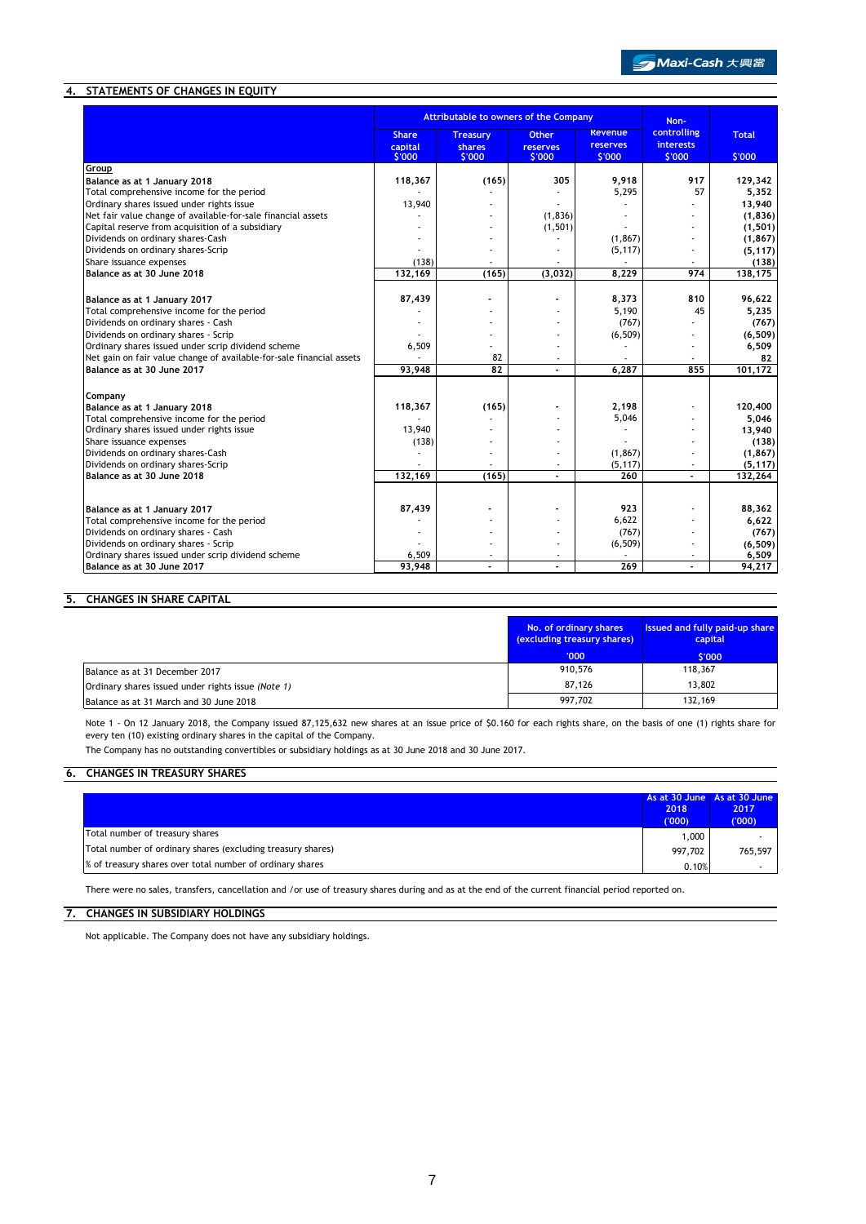# **4. STATEMENTS OF CHANGES IN EQUITY**

|                                                                                                                            | <b>Attributable to owners of the Company</b> |                                     |                                           | Non-                                        |                                           |                        |
|----------------------------------------------------------------------------------------------------------------------------|----------------------------------------------|-------------------------------------|-------------------------------------------|---------------------------------------------|-------------------------------------------|------------------------|
|                                                                                                                            | <b>Share</b><br>capital<br>\$'000            | <b>Treasury</b><br>shares<br>\$'000 | <b>Other</b><br><b>reserves</b><br>\$'000 | <b>Revenue</b><br><b>reserves</b><br>\$'000 | controlling<br><b>interests</b><br>\$'000 | <b>Total</b><br>\$'000 |
| Group                                                                                                                      |                                              |                                     |                                           |                                             |                                           |                        |
| Balance as at 1 January 2018                                                                                               | 118,367                                      | (165)                               | 305                                       | 9,918                                       | 917                                       | 129,342                |
| Total comprehensive income for the period                                                                                  |                                              |                                     |                                           | 5,295                                       | 57                                        | 5,352                  |
| Ordinary shares issued under rights issue                                                                                  | 13,940                                       |                                     |                                           |                                             |                                           | 13,940                 |
| Net fair value change of available-for-sale financial assets                                                               |                                              |                                     | (1, 836)                                  |                                             |                                           | (1, 836)               |
| Capital reserve from acquisition of a subsidiary                                                                           |                                              | ۰                                   | (1, 501)                                  |                                             |                                           | (1, 501)               |
| Dividends on ordinary shares-Cash                                                                                          |                                              |                                     |                                           | (1, 867)                                    |                                           | (1, 867)               |
| Dividends on ordinary shares-Scrip                                                                                         |                                              |                                     |                                           | (5, 117)                                    |                                           | (5, 117)               |
| Share issuance expenses                                                                                                    | (138)                                        |                                     |                                           |                                             |                                           | (138)                  |
| Balance as at 30 June 2018                                                                                                 | 132.169                                      | (165)                               | (3,032)                                   | 8.229                                       | 974                                       | 138,175                |
|                                                                                                                            |                                              |                                     |                                           |                                             |                                           |                        |
| Balance as at 1 January 2017                                                                                               | 87,439                                       |                                     |                                           | 8,373                                       | 810                                       | 96,622                 |
| Total comprehensive income for the period<br>Dividends on ordinary shares - Cash                                           |                                              |                                     |                                           | 5,190                                       | 45                                        | 5,235                  |
|                                                                                                                            |                                              |                                     |                                           | (767)                                       |                                           | (767)                  |
| Dividends on ordinary shares - Scrip                                                                                       |                                              |                                     |                                           | (6, 509)                                    |                                           | (6, 509)               |
| Ordinary shares issued under scrip dividend scheme<br>Net gain on fair value change of available-for-sale financial assets | 6,509                                        | ×.<br>82                            |                                           |                                             |                                           | 6,509                  |
| Balance as at 30 June 2017                                                                                                 | 93,948                                       | 82                                  | ٠                                         | 6,287                                       | 855                                       | 82<br>101,172          |
|                                                                                                                            |                                              |                                     |                                           |                                             |                                           |                        |
| Company                                                                                                                    |                                              |                                     |                                           |                                             |                                           |                        |
| Balance as at 1 January 2018                                                                                               | 118,367                                      | (165)                               |                                           | 2,198                                       |                                           | 120,400                |
| Total comprehensive income for the period                                                                                  |                                              |                                     |                                           | 5,046                                       |                                           | 5.046                  |
| Ordinary shares issued under rights issue                                                                                  | 13,940                                       |                                     |                                           |                                             |                                           | 13,940                 |
| Share issuance expenses                                                                                                    | (138)                                        |                                     |                                           |                                             |                                           | (138)                  |
| Dividends on ordinary shares-Cash                                                                                          |                                              | ۰                                   |                                           | (1, 867)                                    |                                           | (1, 867)               |
| Dividends on ordinary shares-Scrip                                                                                         |                                              |                                     |                                           | (5, 117)                                    |                                           | (5, 117)               |
| Balance as at 30 June 2018                                                                                                 | 132,169                                      | (165)                               |                                           | 260                                         |                                           | 132,264                |
|                                                                                                                            |                                              |                                     |                                           |                                             |                                           |                        |
| Balance as at 1 January 2017                                                                                               | 87,439                                       |                                     |                                           | 923                                         |                                           | 88,362                 |
| Total comprehensive income for the period                                                                                  |                                              |                                     |                                           | 6,622                                       |                                           | 6,622                  |
| Dividends on ordinary shares - Cash                                                                                        |                                              |                                     |                                           | (767)                                       |                                           | (767)                  |
| Dividends on ordinary shares - Scrip                                                                                       |                                              |                                     |                                           | (6, 509)                                    |                                           | (6, 509)               |
| Ordinary shares issued under scrip dividend scheme                                                                         | 6,509                                        |                                     |                                           |                                             |                                           | 6,509                  |
| Balance as at 30 June 2017                                                                                                 | 93.948                                       | ÷                                   |                                           | 269                                         | ä,                                        | 94,217                 |

# **5. CHANGES IN SHARE CAPITAL**

|                                                    | No. of ordinary shares<br>(excluding treasury shares) | Issued and fully paid-up share<br>capital |
|----------------------------------------------------|-------------------------------------------------------|-------------------------------------------|
|                                                    | '000'                                                 | \$'000                                    |
| Balance as at 31 December 2017                     | 910,576                                               | 118,367                                   |
| Ordinary shares issued under rights issue (Note 1) | 87.126                                                | 13,802                                    |
| Balance as at 31 March and 30 June 2018            | 997.702                                               | 132,169                                   |

Note 1 - On 12 January 2018, the Company issued 87,125,632 new shares at an issue price of \$0.160 for each rights share, on the basis of one (1) rights share for every ten (10) existing ordinary shares in the capital of the Company.

The Company has no outstanding convertibles or subsidiary holdings as at 30 June 2018 and 30 June 2017.

# **6. CHANGES IN TREASURY SHARES**

|                                                             | 2018<br>(000) | As at 30 June As at 30 June<br>2017<br>(000) |
|-------------------------------------------------------------|---------------|----------------------------------------------|
| Total number of treasury shares                             | 1,000         |                                              |
| Total number of ordinary shares (excluding treasury shares) | 997.702       | 765.597                                      |
| % of treasury shares over total number of ordinary shares   | 0.10%         |                                              |

There were no sales, transfers, cancellation and /or use of treasury shares during and as at the end of the current financial period reported on.

# **7. CHANGES IN SUBSIDIARY HOLDINGS**

Not applicable. The Company does not have any subsidiary holdings.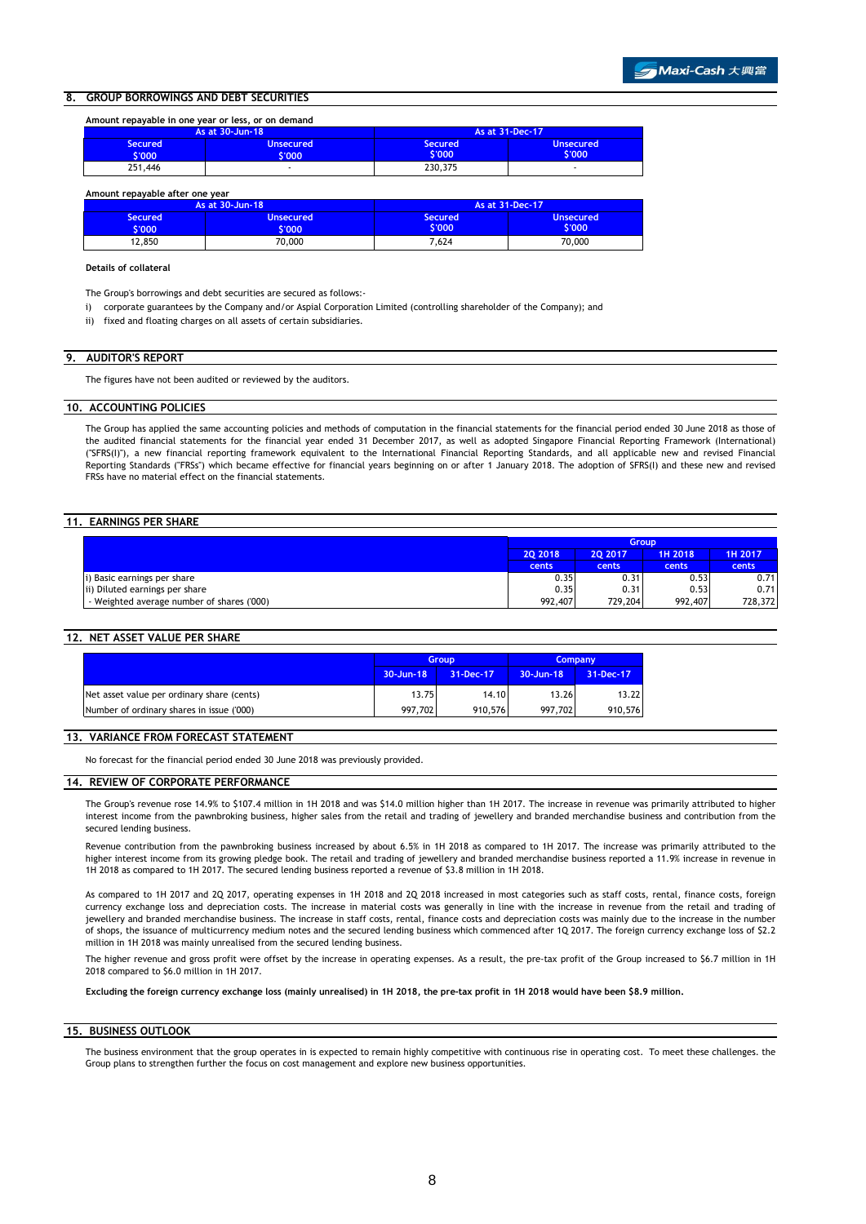### **8. GROUP BORROWINGS AND DEBT SECURITIES**

| Amount repayable in one year or less, or on demand |                     |                          |                            |  |
|----------------------------------------------------|---------------------|--------------------------|----------------------------|--|
|                                                    | As at 30-Jun-18     | As at 31-Dec-17          |                            |  |
| <b>Secured</b><br>\$'000                           | Unsecured<br>\$'000 | <b>Secured</b><br>\$'000 | <b>Unsecured</b><br>\$'000 |  |
| 251,446                                            | ۰                   | 230,375                  |                            |  |

#### **Amount repayable after one year**

|                        | As at 30-Jun-18         | As at 31-Dec-17                |                            |
|------------------------|-------------------------|--------------------------------|----------------------------|
| <b>Secured</b><br>:000 | <b>Unsecured</b><br>000 | Secured <sup>1</sup><br>\$'000 | <b>Unsecured</b><br>\$'000 |
| 12.850                 | 70,000                  | 7.624                          | 70,000                     |

#### **Details of collateral**

The Group's borrowings and debt securities are secured as follows:-

- i) corporate guarantees by the Company and/or Aspial Corporation Limited (controlling shareholder of the Company); and
- ii) fixed and floating charges on all assets of certain subsidiaries.

### **9. AUDITOR'S REPORT**

The figures have not been audited or reviewed by the auditors.

#### **10. ACCOUNTING POLICIES**

The Group has applied the same accounting policies and methods of computation in the financial statements for the financial period ended 30 June 2018 as those of the audited financial statements for the financial year ended 31 December 2017, as well as adopted Singapore Financial Reporting Framework (International) (''SFRS(I)''), a new financial reporting framework equivalent to the International Financial Reporting Standards, and all applicable new and revised Financial Reporting Standards ("FRSs") which became effective for financial years beginning on or after 1 January 2018. The adoption of SFRS(I) and these new and revised FRSs have no material effect on the financial statements.

### **11. EARNINGS PER SHARE**

|                                            |         | <b>Group</b> |         |         |  |
|--------------------------------------------|---------|--------------|---------|---------|--|
|                                            | 20 2018 | 20 20 17     | 1H 2018 | 1H 2017 |  |
|                                            | cents   | cents        | cents   | cents   |  |
| i) Basic earnings per share                | 0.35    | 0.31         | 0.53    | 0.71    |  |
| ii) Diluted earnings per share             | 0.35    | 0.31         | 0.53    | 0.71    |  |
| - Weighted average number of shares ('000) | 992,407 | 729,204      | 992,407 | 728,372 |  |

### **12. NET ASSET VALUE PER SHARE**

|                                            | <b>Group</b> |           | <b>Company</b> |                 |
|--------------------------------------------|--------------|-----------|----------------|-----------------|
|                                            | 30-Jun-18    | 31-Dec-17 | $30 - Jun-18$  | $31 - Dec - 17$ |
| Net asset value per ordinary share (cents) | 13.75        | 14.10     | 13.26          | 13.22           |
| Number of ordinary shares in issue ('000)  | 997.702      | 910,576   | 997.702        | 910,576         |

### **13. VARIANCE FROM FORECAST STATEMENT**

No forecast for the financial period ended 30 June 2018 was previously provided.

#### **14. REVIEW OF CORPORATE PERFORMANCE**

The Group's revenue rose 14.9% to \$107.4 million in 1H 2018 and was \$14.0 million higher than 1H 2017. The increase in revenue was primarily attributed to higher interest income from the pawnbroking business, higher sales from the retail and trading of jewellery and branded merchandise business and contribution from the secured lending business.

Revenue contribution from the pawnbroking business increased by about 6.5% in 1H 2018 as compared to 1H 2017. The increase was primarily attributed to the higher interest income from its growing pledge book. The retail and trading of jewellery and branded merchandise business reported a 11.9% increase in revenue in 1H 2018 as compared to 1H 2017. The secured lending business reported a revenue of \$3.8 million in 1H 2018.

As compared to 1H 2017 and 2Q 2017, operating expenses in 1H 2018 and 2Q 2018 increased in most categories such as staff costs, rental, finance costs, foreign currency exchange loss and depreciation costs. The increase in material costs was generally in line with the increase in revenue from the retail and trading of jewellery and branded merchandise business. The increase in staff costs, rental, finance costs and depreciation costs was mainly due to the increase in the number of shops, the issuance of multicurrency medium notes and the secured lending business which commenced after 1Q 2017. The foreign currency exchange loss of \$2.2 million in 1H 2018 was mainly unrealised from the secured lending business.

The higher revenue and gross profit were offset by the increase in operating expenses. As a result, the pre-tax profit of the Group increased to \$6.7 million in 1H 2018 compared to \$6.0 million in 1H 2017.

**Excluding the foreign currency exchange loss (mainly unrealised) in 1H 2018, the pre-tax profit in 1H 2018 would have been \$8.9 million.**

#### **15. BUSINESS OUTLOOK**

The business environment that the group operates in is expected to remain highly competitive with continuous rise in operating cost. To meet these challenges. the Group plans to strengthen further the focus on cost management and explore new business opportunities.